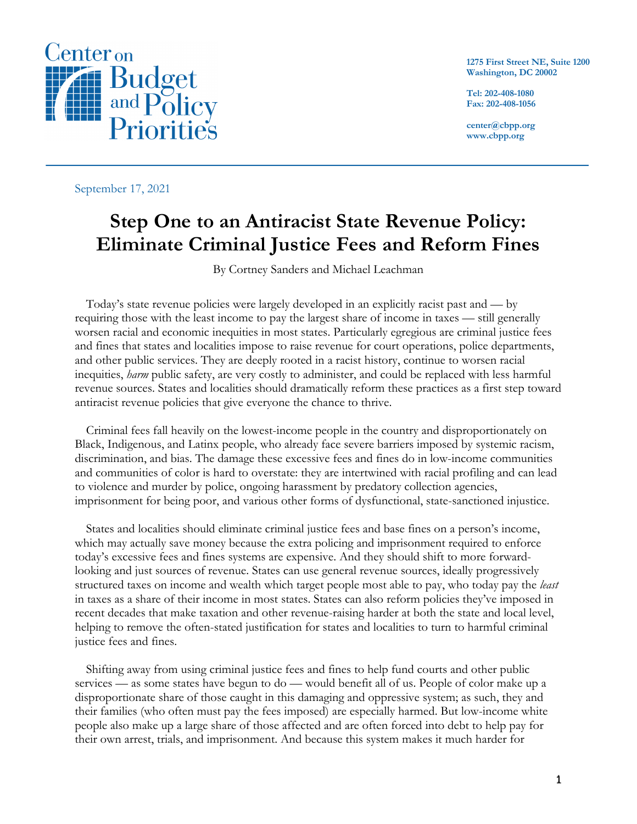

**1275 First Street NE, Suite 1200 Washington, DC 20002**

**Tel: 202-408-1080 Fax: 202-408-1056**

**center@cbpp.org www.cbpp.org**

September 17, 2021

# **Step One to an Antiracist State Revenue Policy: Eliminate Criminal Justice Fees and Reform Fines**

By Cortney Sanders and Michael Leachman

Today's state revenue policies were largely developed in an explicitly racist past and — by requiring those with the least income to pay the largest share of income in taxes — still generally worsen racial and economic inequities in most states. Particularly egregious are criminal justice fees and fines that states and localities impose to raise revenue for court operations, police departments, and other public services. They are deeply rooted in a racist history, continue to worsen racial inequities, *harm* public safety, are very costly to administer, and could be replaced with less harmful revenue sources. States and localities should dramatically reform these practices as a first step toward antiracist revenue policies that give everyone the chance to thrive.

Criminal fees fall heavily on the lowest-income people in the country and disproportionately on Black, Indigenous, and Latinx people, who already face severe barriers imposed by systemic racism, discrimination, and bias. The damage these excessive fees and fines do in low-income communities and communities of color is hard to overstate: they are intertwined with racial profiling and can lead to violence and murder by police, ongoing harassment by predatory collection agencies, imprisonment for being poor, and various other forms of dysfunctional, state-sanctioned injustice.

States and localities should eliminate criminal justice fees and base fines on a person's income, which may actually save money because the extra policing and imprisonment required to enforce today's excessive fees and fines systems are expensive. And they should shift to more forwardlooking and just sources of revenue. States can use general revenue sources, ideally progressively structured taxes on income and wealth which target people most able to pay, who today pay the *least* in taxes as a share of their income in most states. States can also reform policies they've imposed in recent decades that make taxation and other revenue-raising harder at both the state and local level, helping to remove the often-stated justification for states and localities to turn to harmful criminal justice fees and fines.

Shifting away from using criminal justice fees and fines to help fund courts and other public services — as some states have begun to do — would benefit all of us. People of color make up a disproportionate share of those caught in this damaging and oppressive system; as such, they and their families (who often must pay the fees imposed) are especially harmed. But low-income white people also make up a large share of those affected and are often forced into debt to help pay for their own arrest, trials, and imprisonment. And because this system makes it much harder for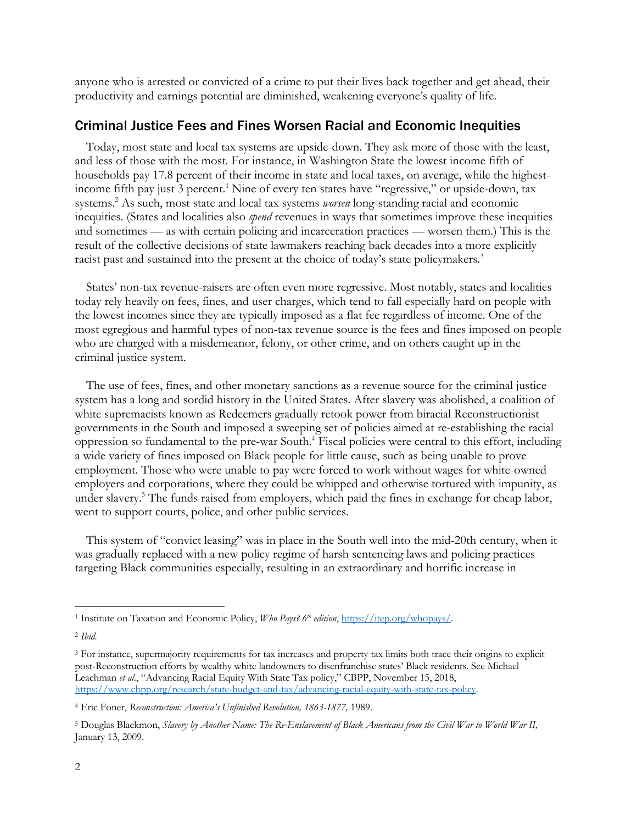anyone who is arrested or convicted of a crime to put their lives back together and get ahead, their productivity and earnings potential are diminished, weakening everyone's quality of life.

### Criminal Justice Fees and Fines Worsen Racial and Economic Inequities

Today, most state and local tax systems are upside-down. They ask more of those with the least, and less of those with the most. For instance, in Washington State the lowest income fifth of households pay 17.8 percent of their income in state and local taxes, on average, while the highestincome fifth pay just 3 percent.<sup>1</sup> Nine of every ten states have "regressive," or upside-down, tax systems.2 As such, most state and local tax systems *worsen* long-standing racial and economic inequities. (States and localities also *spend* revenues in ways that sometimes improve these inequities and sometimes — as with certain policing and incarceration practices — worsen them.) This is the result of the collective decisions of state lawmakers reaching back decades into a more explicitly racist past and sustained into the present at the choice of today's state policymakers. 3

States' non-tax revenue-raisers are often even more regressive. Most notably, states and localities today rely heavily on fees, fines, and user charges, which tend to fall especially hard on people with the lowest incomes since they are typically imposed as a flat fee regardless of income. One of the most egregious and harmful types of non-tax revenue source is the fees and fines imposed on people who are charged with a misdemeanor, felony, or other crime, and on others caught up in the criminal justice system.

The use of fees, fines, and other monetary sanctions as a revenue source for the criminal justice system has a long and sordid history in the United States. After slavery was abolished, a coalition of white supremacists known as Redeemers gradually retook power from biracial Reconstructionist governments in the South and imposed a sweeping set of policies aimed at re-establishing the racial oppression so fundamental to the pre-war South.4 Fiscal policies were central to this effort, including a wide variety of fines imposed on Black people for little cause, such as being unable to prove employment. Those who were unable to pay were forced to work without wages for white-owned employers and corporations, where they could be whipped and otherwise tortured with impunity, as under slavery.<sup>5</sup> The funds raised from employers, which paid the fines in exchange for cheap labor, went to support courts, police, and other public services.

This system of "convict leasing" was in place in the South well into the mid-20th century, when it was gradually replaced with a new policy regime of harsh sentencing laws and policing practices targeting Black communities especially, resulting in an extraordinary and horrific increase in

<sup>1</sup> Institute on Taxation and Economic Policy, *Who Pays? 6th edition*, https://itep.org/whopays/.

<sup>2</sup> *Ibid.*

<sup>3</sup> For instance, supermajority requirements for tax increases and property tax limits both trace their origins to explicit post-Reconstruction efforts by wealthy white landowners to disenfranchise states' Black residents. See Michael Leachman *et al*., "Advancing Racial Equity With State Tax policy," CBPP, November 15, 2018, https://www.cbpp.org/research/state-budget-and-tax/advancing-racial-equity-with-state-tax-policy.

<sup>4</sup> Eric Foner, *Reconstruction: America's Unfinished Revolution, 1863-1877,* 1989.

<sup>5</sup> Douglas Blackmon, *Slavery by Another Name: The Re-Enslavement of Black Americans from the Civil War to World War II,*  January 13, 2009.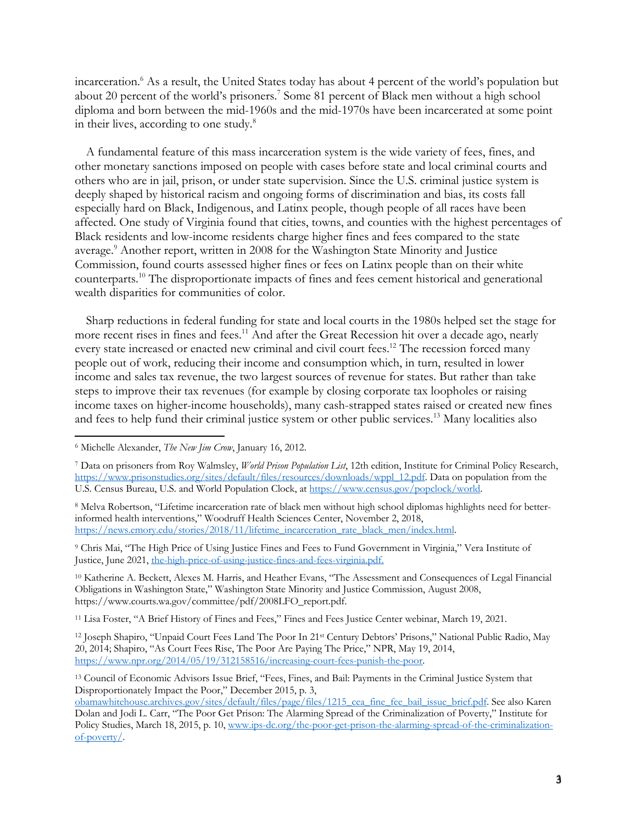incarceration.6 As a result, the United States today has about 4 percent of the world's population but about 20 percent of the world's prisoners.7 Some 81 percent of Black men without a high school diploma and born between the mid-1960s and the mid-1970s have been incarcerated at some point in their lives, according to one study.<sup>8</sup>

A fundamental feature of this mass incarceration system is the wide variety of fees, fines, and other monetary sanctions imposed on people with cases before state and local criminal courts and others who are in jail, prison, or under state supervision. Since the U.S. criminal justice system is deeply shaped by historical racism and ongoing forms of discrimination and bias, its costs fall especially hard on Black, Indigenous, and Latinx people, though people of all races have been affected. One study of Virginia found that cities, towns, and counties with the highest percentages of Black residents and low-income residents charge higher fines and fees compared to the state average.9 Another report, written in 2008 for the Washington State Minority and Justice Commission, found courts assessed higher fines or fees on Latinx people than on their white counterparts. <sup>10</sup> The disproportionate impacts of fines and fees cement historical and generational wealth disparities for communities of color.

Sharp reductions in federal funding for state and local courts in the 1980s helped set the stage for more recent rises in fines and fees.<sup>11</sup> And after the Great Recession hit over a decade ago, nearly every state increased or enacted new criminal and civil court fees.<sup>12</sup> The recession forced many people out of work, reducing their income and consumption which, in turn, resulted in lower income and sales tax revenue, the two largest sources of revenue for states. But rather than take steps to improve their tax revenues (for example by closing corporate tax loopholes or raising income taxes on higher-income households), many cash-strapped states raised or created new fines and fees to help fund their criminal justice system or other public services. <sup>13</sup> Many localities also

<sup>10</sup> Katherine A. Beckett, Alexes M. Harris, and Heather Evans, "The Assessment and Consequences of Legal Financial Obligations in Washington State," Washington State Minority and Justice Commission, August 2008, https://www.courts.wa.gov/committee/pdf/2008LFO\_report.pdf.

<sup>11</sup> Lisa Foster, "A Brief History of Fines and Fees," Fines and Fees Justice Center webinar, March 19, 2021.

<sup>12</sup> Joseph Shapiro, "Unpaid Court Fees Land The Poor In 21st Century Debtors' Prisons," National Public Radio, May 20, 2014; Shapiro, "As Court Fees Rise, The Poor Are Paying The Price," NPR, May 19, 2014, https://www.npr.org/2014/05/19/312158516/increasing-court-fees-punish-the-poor.

<sup>13</sup> Council of Economic Advisors Issue Brief, "Fees, Fines, and Bail: Payments in the Criminal Justice System that Disproportionately Impact the Poor," December 2015, p. 3,

<sup>6</sup> Michelle Alexander, *The New Jim Crow*, January 16, 2012.

<sup>7</sup> Data on prisoners from Roy Walmsley, *World Prison Population List*, 12th edition, Institute for Criminal Policy Research, https://www.prisonstudies.org/sites/default/files/resources/downloads/wppl\_12.pdf. Data on population from the U.S. Census Bureau, U.S. and World Population Clock, at https://www.census.gov/popclock/world.

<sup>8</sup> Melva Robertson, "Lifetime incarceration rate of black men without high school diplomas highlights need for betterinformed health interventions," Woodruff Health Sciences Center, November 2, 2018, https://news.emory.edu/stories/2018/11/lifetime\_incarceration\_rate\_black\_men/index.html.

<sup>9</sup> Chris Mai, "The High Price of Using Justice Fines and Fees to Fund Government in Virginia," Vera Institute of Justice, June 2021, the-high-price-of-using-justice-fines-and-fees-virginia.pdf.

obamawhitehouse.archives.gov/sites/default/files/page/files/1215\_cea\_fine\_fee\_bail\_issue\_brief.pdf. See also Karen Dolan and Jodi L. Carr, "The Poor Get Prison: The Alarming Spread of the Criminalization of Poverty," Institute for Policy Studies, March 18, 2015, p. 10, www.ips-dc.org/the-poor-get-prison-the-alarming-spread-of-the-criminalizationof-poverty/.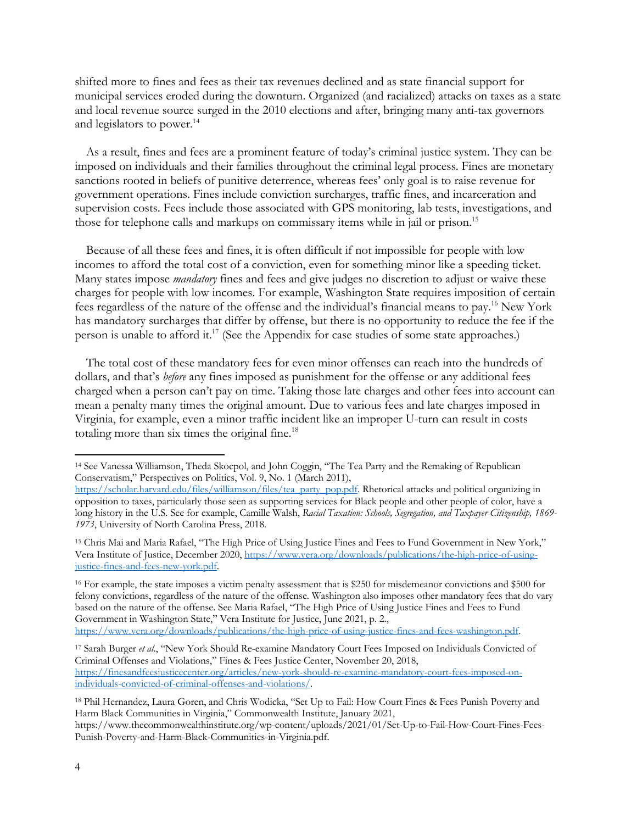shifted more to fines and fees as their tax revenues declined and as state financial support for municipal services eroded during the downturn. Organized (and racialized) attacks on taxes as a state and local revenue source surged in the 2010 elections and after, bringing many anti-tax governors and legislators to power. 14

As a result, fines and fees are a prominent feature of today's criminal justice system. They can be imposed on individuals and their families throughout the criminal legal process. Fines are monetary sanctions rooted in beliefs of punitive deterrence, whereas fees' only goal is to raise revenue for government operations. Fines include conviction surcharges, traffic fines, and incarceration and supervision costs. Fees include those associated with GPS monitoring, lab tests, investigations, and those for telephone calls and markups on commissary items while in jail or prison. 15

Because of all these fees and fines, it is often difficult if not impossible for people with low incomes to afford the total cost of a conviction, even for something minor like a speeding ticket. Many states impose *mandatory* fines and fees and give judges no discretion to adjust or waive these charges for people with low incomes. For example, Washington State requires imposition of certain fees regardless of the nature of the offense and the individual's financial means to pay.16 New York has mandatory surcharges that differ by offense, but there is no opportunity to reduce the fee if the person is unable to afford it. <sup>17</sup> (See the Appendix for case studies of some state approaches.)

The total cost of these mandatory fees for even minor offenses can reach into the hundreds of dollars, and that's *before* any fines imposed as punishment for the offense or any additional fees charged when a person can't pay on time. Taking those late charges and other fees into account can mean a penalty many times the original amount. Due to various fees and late charges imposed in Virginia, for example, even a minor traffic incident like an improper U-turn can result in costs totaling more than six times the original fine.<sup>18</sup>

<sup>14</sup> See Vanessa Williamson, Theda Skocpol, and John Coggin, "The Tea Party and the Remaking of Republican Conservatism," Perspectives on Politics, Vol. 9, No. 1 (March 2011),

https://scholar.harvard.edu/files/williamson/files/tea\_party\_pop.pdf. Rhetorical attacks and political organizing in opposition to taxes, particularly those seen as supporting services for Black people and other people of color, have a long history in the U.S. See for example, Camille Walsh, *Racial Taxation: Schools, Segregation, and Taxpayer Citizenship, 1869- 1973*, University of North Carolina Press, 2018.

<sup>15</sup> Chris Mai and Maria Rafael, "The High Price of Using Justice Fines and Fees to Fund Government in New York," Vera Institute of Justice, December 2020, https://www.vera.org/downloads/publications/the-high-price-of-usingjustice-fines-and-fees-new-york.pdf.

<sup>16</sup> For example, the state imposes a victim penalty assessment that is \$250 for misdemeanor convictions and \$500 for felony convictions, regardless of the nature of the offense. Washington also imposes other mandatory fees that do vary based on the nature of the offense. See Maria Rafael, "The High Price of Using Justice Fines and Fees to Fund Government in Washington State," Vera Institute for Justice, June 2021, p. 2., https://www.vera.org/downloads/publications/the-high-price-of-using-justice-fines-and-fees-washington.pdf.

<sup>17</sup> Sarah Burger *et al*., "New York Should Re-examine Mandatory Court Fees Imposed on Individuals Convicted of Criminal Offenses and Violations," Fines & Fees Justice Center, November 20, 2018, https://finesandfeesjusticecenter.org/articles/new-york-should-re-examine-mandatory-court-fees-imposed-onindividuals-convicted-of-criminal-offenses-and-violations/.

<sup>18</sup> Phil Hernandez, Laura Goren, and Chris Wodicka, "Set Up to Fail: How Court Fines & Fees Punish Poverty and Harm Black Communities in Virginia," Commonwealth Institute, January 2021,

https://www.thecommonwealthinstitute.org/wp-content/uploads/2021/01/Set-Up-to-Fail-How-Court-Fines-Fees-Punish-Poverty-and-Harm-Black-Communities-in-Virginia.pdf.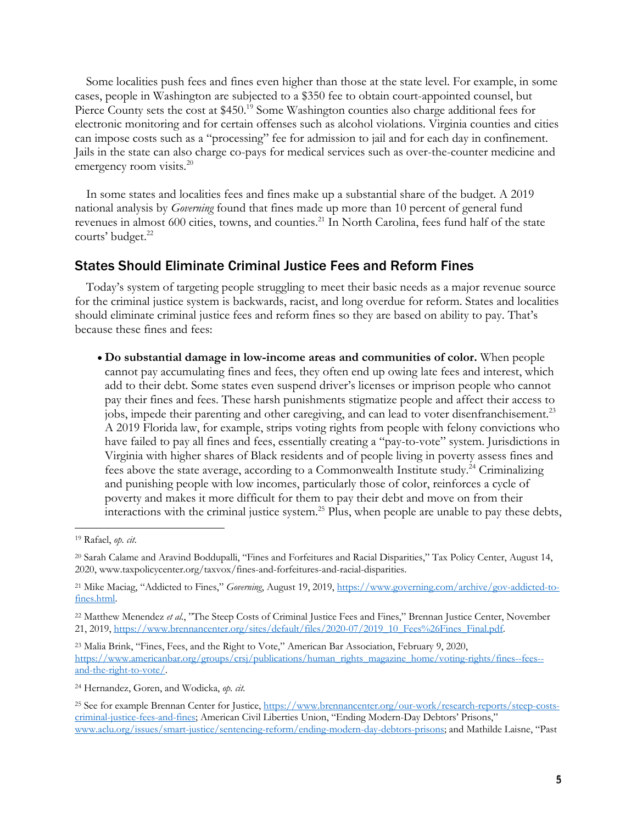Some localities push fees and fines even higher than those at the state level. For example, in some cases, people in Washington are subjected to a \$350 fee to obtain court-appointed counsel, but Pierce County sets the cost at \$450.<sup>19</sup> Some Washington counties also charge additional fees for electronic monitoring and for certain offenses such as alcohol violations. Virginia counties and cities can impose costs such as a "processing" fee for admission to jail and for each day in confinement. Jails in the state can also charge co-pays for medical services such as over-the-counter medicine and emergency room visits.<sup>20</sup>

In some states and localities fees and fines make up a substantial share of the budget. A 2019 national analysis by *Governing* found that fines made up more than 10 percent of general fund revenues in almost 600 cities, towns, and counties.<sup>21</sup> In North Carolina, fees fund half of the state courts' budget.<sup>22</sup>

### States Should Eliminate Criminal Justice Fees and Reform Fines

Today's system of targeting people struggling to meet their basic needs as a major revenue source for the criminal justice system is backwards, racist, and long overdue for reform. States and localities should eliminate criminal justice fees and reform fines so they are based on ability to pay. That's because these fines and fees:

• **Do substantial damage in low-income areas and communities of color.** When people cannot pay accumulating fines and fees, they often end up owing late fees and interest, which add to their debt. Some states even suspend driver's licenses or imprison people who cannot pay their fines and fees. These harsh punishments stigmatize people and affect their access to jobs, impede their parenting and other caregiving, and can lead to voter disenfranchisement.<sup>23</sup> A 2019 Florida law, for example, strips voting rights from people with felony convictions who have failed to pay all fines and fees, essentially creating a "pay-to-vote" system. Jurisdictions in Virginia with higher shares of Black residents and of people living in poverty assess fines and fees above the state average, according to a Commonwealth Institute study.<sup>24</sup> Criminalizing and punishing people with low incomes, particularly those of color, reinforces a cycle of poverty and makes it more difficult for them to pay their debt and move on from their interactions with the criminal justice system.<sup>25</sup> Plus, when people are unable to pay these debts,

<sup>19</sup> Rafael, *op. cit*.

<sup>20</sup> Sarah Calame and Aravind Boddupalli, "Fines and Forfeitures and Racial Disparities," Tax Policy Center, August 14, 2020, www.taxpolicycenter.org/taxvox/fines-and-forfeitures-and-racial-disparities.

<sup>21</sup> Mike Maciag, "Addicted to Fines," *Governing*, August 19, 2019, https://www.governing.com/archive/gov-addicted-tofines.html.

<sup>&</sup>lt;sup>22</sup> Matthew Menendez et al., "The Steep Costs of Criminal Justice Fees and Fines," Brennan Justice Center, November 21, 2019, https://www.brennancenter.org/sites/default/files/2020-07/2019\_10\_Fees%26Fines\_Final.pdf.

<sup>23</sup> Malia Brink, "Fines, Fees, and the Right to Vote," American Bar Association, February 9, 2020, https://www.americanbar.org/groups/crsj/publications/human\_rights\_magazine\_home/voting-rights/fines--fees- and-the-right-to-vote/.

<sup>24</sup> Hernandez, Goren, and Wodicka, *op. cit.*

<sup>25</sup> See for example Brennan Center for Justice, https://www.brennancenter.org/our-work/research-reports/steep-costscriminal-justice-fees-and-fines; American Civil Liberties Union, "Ending Modern-Day Debtors' Prisons," www.aclu.org/issues/smart-justice/sentencing-reform/ending-modern-day-debtors-prisons; and Mathilde Laisne, "Past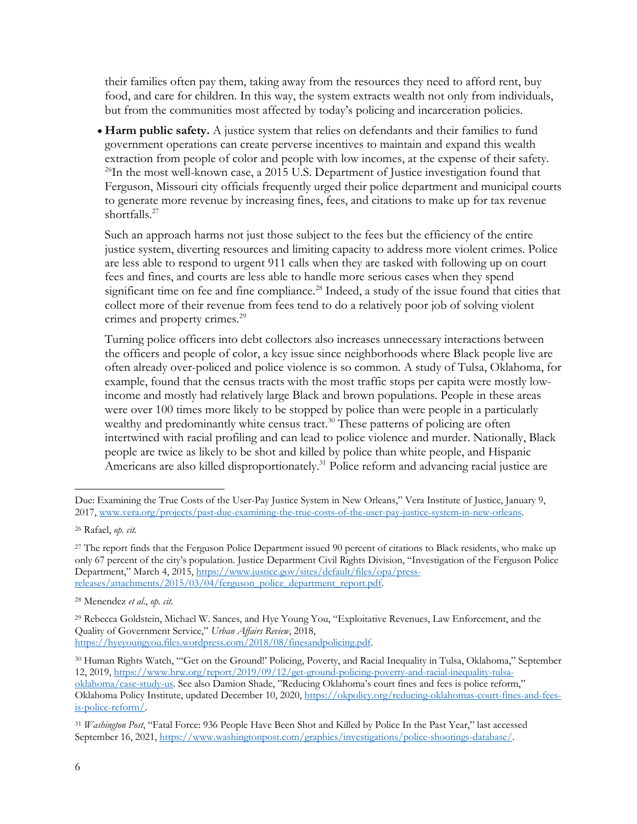their families often pay them, taking away from the resources they need to afford rent, buy food, and care for children. In this way, the system extracts wealth not only from individuals, but from the communities most affected by today's policing and incarceration policies.

• **Harm public safety.** A justice system that relies on defendants and their families to fund government operations can create perverse incentives to maintain and expand this wealth extraction from people of color and people with low incomes, at the expense of their safety.<br><sup>26</sup>In the most well-known case, a 2015 U.S. Department of Justice investigation found that Ferguson, Missouri city officials frequently urged their police department and municipal courts to generate more revenue by increasing fines, fees, and citations to make up for tax revenue shortfalls. 27

Such an approach harms not just those subject to the fees but the efficiency of the entire justice system, diverting resources and limiting capacity to address more violent crimes. Police are less able to respond to urgent 911 calls when they are tasked with following up on court fees and fines, and courts are less able to handle more serious cases when they spend significant time on fee and fine compliance.<sup>28</sup> Indeed, a study of the issue found that cities that collect more of their revenue from fees tend to do a relatively poor job of solving violent crimes and property crimes. 29

Turning police officers into debt collectors also increases unnecessary interactions between the officers and people of color, a key issue since neighborhoods where Black people live are often already over-policed and police violence is so common. A study of Tulsa, Oklahoma, for example, found that the census tracts with the most traffic stops per capita were mostly lowincome and mostly had relatively large Black and brown populations. People in these areas were over 100 times more likely to be stopped by police than were people in a particularly wealthy and predominantly white census tract.<sup>30</sup> These patterns of policing are often intertwined with racial profiling and can lead to police violence and murder. Nationally, Black people are twice as likely to be shot and killed by police than white people, and Hispanic Americans are also killed disproportionately.<sup>31</sup> Police reform and advancing racial justice are

Due: Examining the True Costs of the User-Pay Justice System in New Orleans," Vera Institute of Justice, January 9, 2017, www.vera.org/projects/past-due-examining-the-true-costs-of-the-user-pay-justice-system-in-new-orleans.

<sup>26</sup> Rafael, *op. cit.*

<sup>&</sup>lt;sup>27</sup> The report finds that the Ferguson Police Department issued 90 percent of citations to Black residents, who make up only 67 percent of the city's population. Justice Department Civil Rights Division, "Investigation of the Ferguson Police Department," March 4, 2015, https://www.justice.gov/sites/default/files/opa/pressreleases/attachments/2015/03/04/ferguson\_police\_department\_report.pdf.

<sup>28</sup> Menendez *et al*., *op. cit.*

<sup>29</sup> Rebecca Goldstein, Michael W. Sances, and Hye Young You, "Exploitative Revenues, Law Enforcement, and the Quality of Government Service," *Urban Affairs Review*, 2018, https://hyeyoungyou.files.wordpress.com/2018/08/finesandpolicing.pdf.

<sup>30</sup> Human Rights Watch, "'Get on the Ground!' Policing, Poverty, and Racial Inequality in Tulsa, Oklahoma," September 12, 2019, https://www.hrw.org/report/2019/09/12/get-ground-policing-poverty-and-racial-inequality-tulsaoklahoma/case-study-us. See also Damion Shade, "Reducing Oklahoma's court fines and fees is police reform," Oklahoma Policy Institute, updated December 10, 2020, https://okpolicy.org/reducing-oklahomas-court-fines-and-feesis-police-reform/.

<sup>31</sup> *Washington Post*, "Fatal Force: 936 People Have Been Shot and Killed by Police In the Past Year," last accessed September 16, 2021, https://www.washingtonpost.com/graphics/investigations/police-shootings-database/.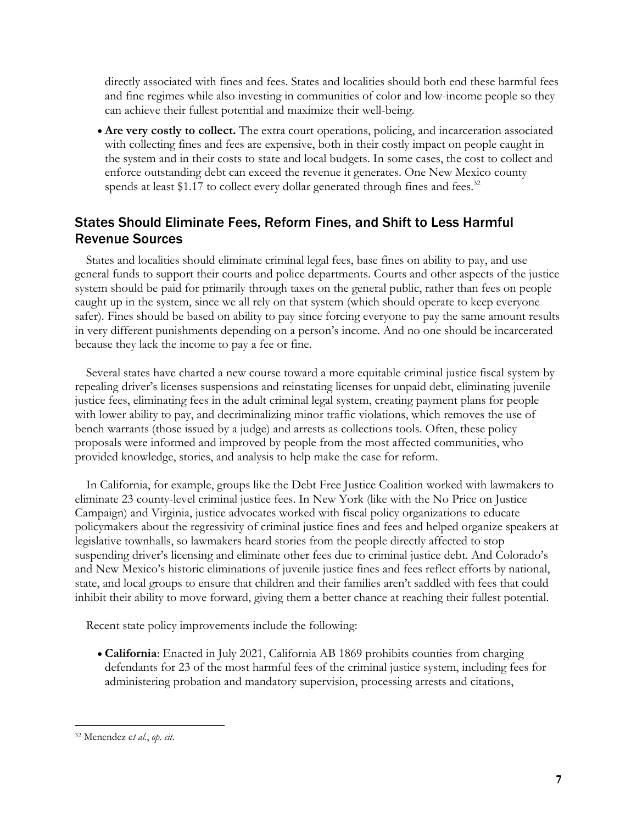directly associated with fines and fees. States and localities should both end these harmful fees and fine regimes while also investing in communities of color and low-income people so they can achieve their fullest potential and maximize their well-being.

• **Are very costly to collect.** The extra court operations, policing, and incarceration associated with collecting fines and fees are expensive, both in their costly impact on people caught in the system and in their costs to state and local budgets. In some cases, the cost to collect and enforce outstanding debt can exceed the revenue it generates. One New Mexico county spends at least \$1.17 to collect every dollar generated through fines and fees.<sup>32</sup>

## States Should Eliminate Fees, Reform Fines, and Shift to Less Harmful Revenue Sources

States and localities should eliminate criminal legal fees, base fines on ability to pay, and use general funds to support their courts and police departments. Courts and other aspects of the justice system should be paid for primarily through taxes on the general public, rather than fees on people caught up in the system, since we all rely on that system (which should operate to keep everyone safer). Fines should be based on ability to pay since forcing everyone to pay the same amount results in very different punishments depending on a person's income. And no one should be incarcerated because they lack the income to pay a fee or fine.

Several states have charted a new course toward a more equitable criminal justice fiscal system by repealing driver's licenses suspensions and reinstating licenses for unpaid debt, eliminating juvenile justice fees, eliminating fees in the adult criminal legal system, creating payment plans for people with lower ability to pay, and decriminalizing minor traffic violations, which removes the use of bench warrants (those issued by a judge) and arrests as collections tools. Often, these policy proposals were informed and improved by people from the most affected communities, who provided knowledge, stories, and analysis to help make the case for reform.

In California, for example, groups like the Debt Free Justice Coalition worked with lawmakers to eliminate 23 county-level criminal justice fees. In New York (like with the No Price on Justice Campaign) and Virginia, justice advocates worked with fiscal policy organizations to educate policymakers about the regressivity of criminal justice fines and fees and helped organize speakers at legislative townhalls, so lawmakers heard stories from the people directly affected to stop suspending driver's licensing and eliminate other fees due to criminal justice debt. And Colorado's and New Mexico's historic eliminations of juvenile justice fines and fees reflect efforts by national, state, and local groups to ensure that children and their families aren't saddled with fees that could inhibit their ability to move forward, giving them a better chance at reaching their fullest potential.

Recent state policy improvements include the following:

• **California**: Enacted in July 2021, California AB 1869 prohibits counties from charging defendants for 23 of the most harmful fees of the criminal justice system, including fees for administering probation and mandatory supervision, processing arrests and citations,

<sup>32</sup> Menendez e*t al.*, *op. cit*.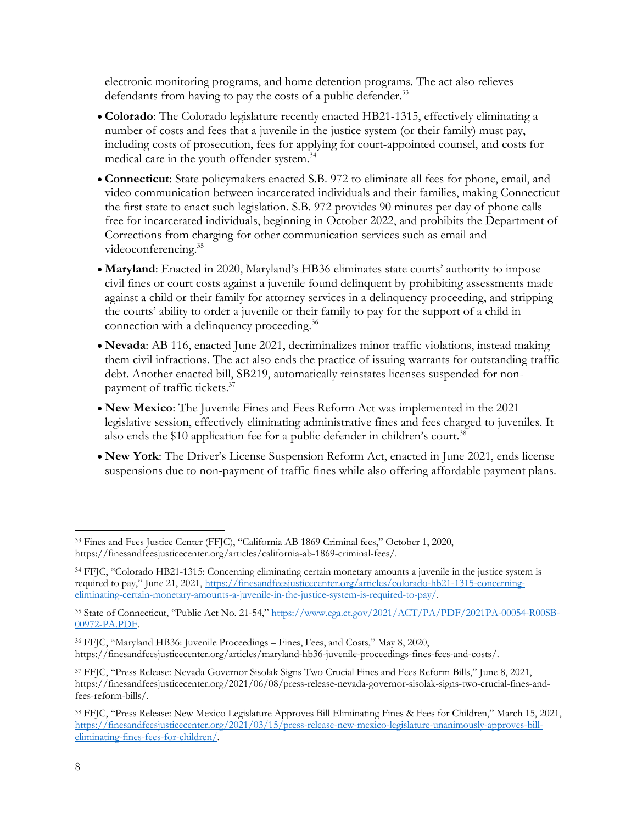electronic monitoring programs, and home detention programs. The act also relieves defendants from having to pay the costs of a public defender.<sup>33</sup>

- **Colorado**: The Colorado legislature recently enacted HB21-1315, effectively eliminating a number of costs and fees that a juvenile in the justice system (or their family) must pay, including costs of prosecution, fees for applying for court-appointed counsel, and costs for medical care in the youth offender system.34
- **Connecticut**: State policymakers enacted S.B. 972 to eliminate all fees for phone, email, and video communication between incarcerated individuals and their families, making Connecticut the first state to enact such legislation. S.B. 972 provides 90 minutes per day of phone calls free for incarcerated individuals, beginning in October 2022, and prohibits the Department of Corrections from charging for other communication services such as email and videoconferencing.35
- **Maryland**: Enacted in 2020, Maryland's HB36 eliminates state courts' authority to impose civil fines or court costs against a juvenile found delinquent by prohibiting assessments made against a child or their family for attorney services in a delinquency proceeding, and stripping the courts' ability to order a juvenile or their family to pay for the support of a child in connection with a delinquency proceeding.<sup>36</sup>
- **Nevada**: AB 116, enacted June 2021, decriminalizes minor traffic violations, instead making them civil infractions. The act also ends the practice of issuing warrants for outstanding traffic debt. Another enacted bill, SB219, automatically reinstates licenses suspended for nonpayment of traffic tickets.<sup>37</sup>
- **New Mexico**: The Juvenile Fines and Fees Reform Act was implemented in the 2021 legislative session, effectively eliminating administrative fines and fees charged to juveniles. It also ends the \$10 application fee for a public defender in children's court.<sup>38</sup>
- **New York**: The Driver's License Suspension Reform Act, enacted in June 2021, ends license suspensions due to non-payment of traffic fines while also offering affordable payment plans.

<sup>33</sup> Fines and Fees Justice Center (FFJC), "California AB 1869 Criminal fees," October 1, 2020, https://finesandfeesjusticecenter.org/articles/california-ab-1869-criminal-fees/.

<sup>34</sup> FFJC, "Colorado HB21-1315: Concerning eliminating certain monetary amounts a juvenile in the justice system is required to pay," June 21, 2021, https://finesandfeesjusticecenter.org/articles/colorado-hb21-1315-concerningeliminating-certain-monetary-amounts-a-juvenile-in-the-justice-system-is-required-to-pay/.

<sup>35</sup> State of Connecticut, "Public Act No. 21-54," https://www.cga.ct.gov/2021/ACT/PA/PDF/2021PA-00054-R00SB-00972-PA.PDF.

<sup>36</sup> FFJC, "Maryland HB36: Juvenile Proceedings – Fines, Fees, and Costs," May 8, 2020,

https://finesandfeesjusticecenter.org/articles/maryland-hb36-juvenile-proceedings-fines-fees-and-costs/.

<sup>37</sup> FFJC, "Press Release: Nevada Governor Sisolak Signs Two Crucial Fines and Fees Reform Bills," June 8, 2021, https://finesandfeesjusticecenter.org/2021/06/08/press-release-nevada-governor-sisolak-signs-two-crucial-fines-andfees-reform-bills/.

<sup>38</sup> FFJC, "Press Release: New Mexico Legislature Approves Bill Eliminating Fines & Fees for Children," March 15, 2021, https://finesandfeesjusticecenter.org/2021/03/15/press-release-new-mexico-legislature-unanimously-approves-billeliminating-fines-fees-for-children/.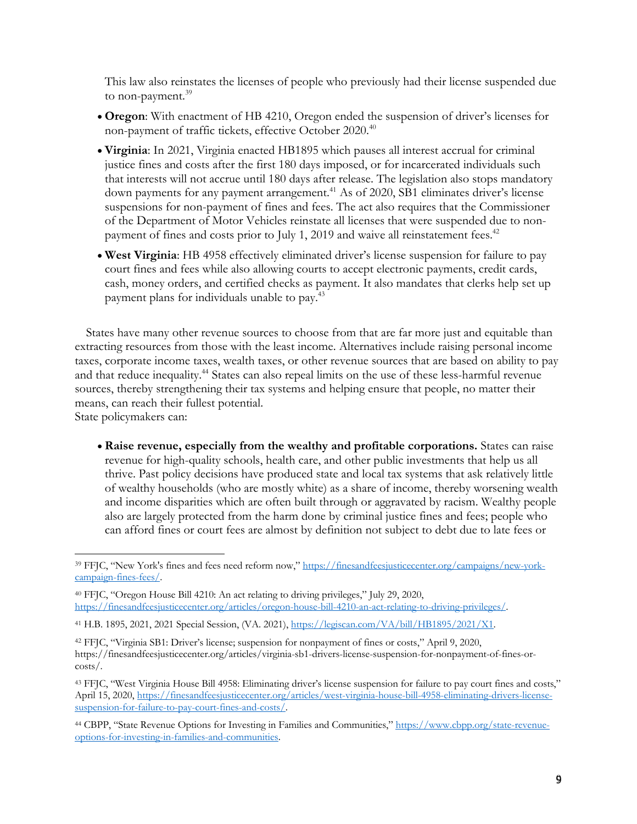This law also reinstates the licenses of people who previously had their license suspended due to non-payment.<sup>39</sup>

- **Oregon**: With enactment of HB 4210, Oregon ended the suspension of driver's licenses for non-payment of traffic tickets, effective October 2020.<sup>40</sup>
- **Virginia**: In 2021, Virginia enacted HB1895 which pauses all interest accrual for criminal justice fines and costs after the first 180 days imposed, or for incarcerated individuals such that interests will not accrue until 180 days after release. The legislation also stops mandatory down payments for any payment arrangement. <sup>41</sup> As of 2020, SB1 eliminates driver's license suspensions for non-payment of fines and fees. The act also requires that the Commissioner of the Department of Motor Vehicles reinstate all licenses that were suspended due to nonpayment of fines and costs prior to July 1, 2019 and waive all reinstatement fees.<sup>42</sup>
- **West Virginia**: HB 4958 effectively eliminated driver's license suspension for failure to pay court fines and fees while also allowing courts to accept electronic payments, credit cards, cash, money orders, and certified checks as payment. It also mandates that clerks help set up payment plans for individuals unable to pay.43

States have many other revenue sources to choose from that are far more just and equitable than extracting resources from those with the least income. Alternatives include raising personal income taxes, corporate income taxes, wealth taxes, or other revenue sources that are based on ability to pay and that reduce inequality.<sup>44</sup> States can also repeal limits on the use of these less-harmful revenue sources, thereby strengthening their tax systems and helping ensure that people, no matter their means, can reach their fullest potential.

State policymakers can:

• **Raise revenue, especially from the wealthy and profitable corporations.** States can raise revenue for high-quality schools, health care, and other public investments that help us all thrive. Past policy decisions have produced state and local tax systems that ask relatively little of wealthy households (who are mostly white) as a share of income, thereby worsening wealth and income disparities which are often built through or aggravated by racism. Wealthy people also are largely protected from the harm done by criminal justice fines and fees; people who can afford fines or court fees are almost by definition not subject to debt due to late fees or

<sup>44</sup> CBPP, "State Revenue Options for Investing in Families and Communities," https://www.cbpp.org/state-revenueoptions-for-investing-in-families-and-communities.

<sup>&</sup>lt;sup>39</sup> FFJC, "New York's fines and fees need reform now," https://finesandfeesjusticecenter.org/campaigns/new-yorkcampaign-fines-fees/.

<sup>40</sup> FFJC, "Oregon House Bill 4210: An act relating to driving privileges," July 29, 2020, https://finesandfeesjusticecenter.org/articles/oregon-house-bill-4210-an-act-relating-to-driving-privileges/.

<sup>41</sup> H.B. 1895, 2021, 2021 Special Session, (VA. 2021), https://legiscan.com/VA/bill/HB1895/2021/X1.

<sup>42</sup> FFJC, "Virginia SB1: Driver's license; suspension for nonpayment of fines or costs," April 9, 2020, https://finesandfeesjusticecenter.org/articles/virginia-sb1-drivers-license-suspension-for-nonpayment-of-fines-orcosts/.

<sup>43</sup> FFJC, "West Virginia House Bill 4958: Eliminating driver's license suspension for failure to pay court fines and costs," April 15, 2020, https://finesandfeesjusticecenter.org/articles/west-virginia-house-bill-4958-eliminating-drivers-licensesuspension-for-failure-to-pay-court-fines-and-costs/.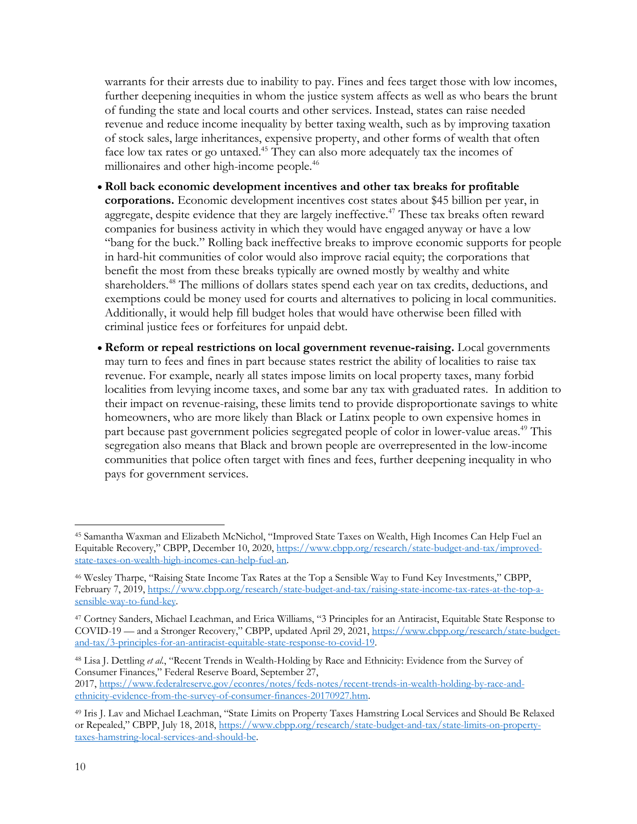warrants for their arrests due to inability to pay. Fines and fees target those with low incomes, further deepening inequities in whom the justice system affects as well as who bears the brunt of funding the state and local courts and other services. Instead, states can raise needed revenue and reduce income inequality by better taxing wealth, such as by improving taxation of stock sales, large inheritances, expensive property, and other forms of wealth that often face low tax rates or go untaxed.<sup>45</sup> They can also more adequately tax the incomes of millionaires and other high-income people.<sup>46</sup>

- **Roll back economic development incentives and other tax breaks for profitable corporations.** Economic development incentives cost states about \$45 billion per year, in aggregate, despite evidence that they are largely ineffective.<sup>47</sup> These tax breaks often reward companies for business activity in which they would have engaged anyway or have a low "bang for the buck." Rolling back ineffective breaks to improve economic supports for people in hard-hit communities of color would also improve racial equity; the corporations that benefit the most from these breaks typically are owned mostly by wealthy and white shareholders.<sup>48</sup> The millions of dollars states spend each year on tax credits, deductions, and exemptions could be money used for courts and alternatives to policing in local communities. Additionally, it would help fill budget holes that would have otherwise been filled with criminal justice fees or forfeitures for unpaid debt.
- **Reform or repeal restrictions on local government revenue-raising.** Local governments may turn to fees and fines in part because states restrict the ability of localities to raise tax revenue. For example, nearly all states impose limits on local property taxes, many forbid localities from levying income taxes, and some bar any tax with graduated rates. In addition to their impact on revenue-raising, these limits tend to provide disproportionate savings to white homeowners, who are more likely than Black or Latinx people to own expensive homes in part because past government policies segregated people of color in lower-value areas.<sup>49</sup> This segregation also means that Black and brown people are overrepresented in the low-income communities that police often target with fines and fees, further deepening inequality in who pays for government services.

<sup>45</sup> Samantha Waxman and Elizabeth McNichol, "Improved State Taxes on Wealth, High Incomes Can Help Fuel an Equitable Recovery," CBPP, December 10, 2020, https://www.cbpp.org/research/state-budget-and-tax/improvedstate-taxes-on-wealth-high-incomes-can-help-fuel-an.

<sup>46</sup> Wesley Tharpe, "Raising State Income Tax Rates at the Top a Sensible Way to Fund Key Investments," CBPP, February 7, 2019, https://www.cbpp.org/research/state-budget-and-tax/raising-state-income-tax-rates-at-the-top-asensible-way-to-fund-key.

<sup>47</sup> Cortney Sanders, Michael Leachman, and Erica Williams, "3 Principles for an Antiracist, Equitable State Response to COVID-19 — and a Stronger Recovery," CBPP, updated April 29, 2021, https://www.cbpp.org/research/state-budgetand-tax/3-principles-for-an-antiracist-equitable-state-response-to-covid-19.

<sup>48</sup> Lisa J. Dettling *et al.*, "Recent Trends in Wealth-Holding by Race and Ethnicity: Evidence from the Survey of Consumer Finances," Federal Reserve Board, September 27,

<sup>2017,</sup> https://www.federalreserve.gov/econres/notes/feds-notes/recent-trends-in-wealth-holding-by-race-andethnicity-evidence-from-the-survey-of-consumer-finances-20170927.htm.

<sup>49</sup> Iris J. Lav and Michael Leachman, "State Limits on Property Taxes Hamstring Local Services and Should Be Relaxed or Repealed," CBPP, July 18, 2018, https://www.cbpp.org/research/state-budget-and-tax/state-limits-on-propertytaxes-hamstring-local-services-and-should-be.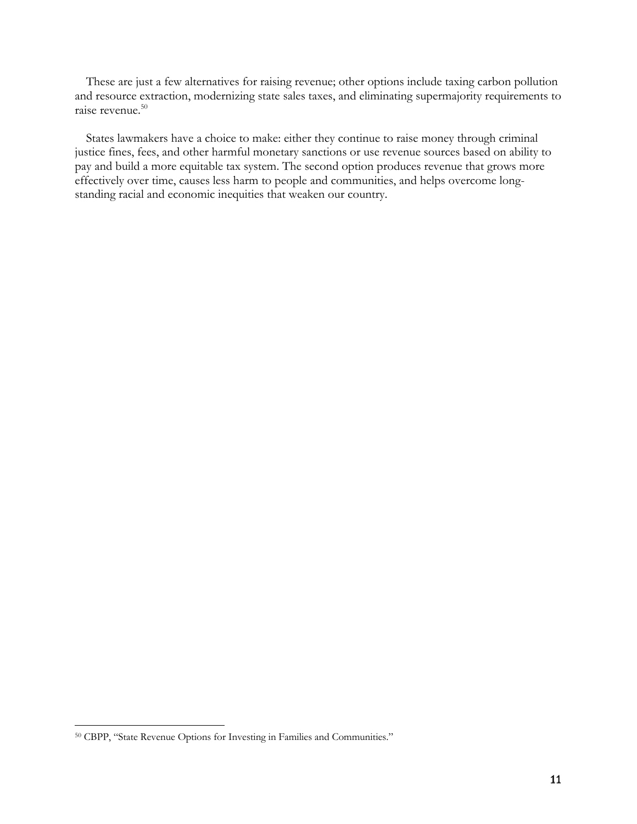These are just a few alternatives for raising revenue; other options include taxing carbon pollution and resource extraction, modernizing state sales taxes, and eliminating supermajority requirements to raise revenue.<sup>50</sup>

States lawmakers have a choice to make: either they continue to raise money through criminal justice fines, fees, and other harmful monetary sanctions or use revenue sources based on ability to pay and build a more equitable tax system. The second option produces revenue that grows more effectively over time, causes less harm to people and communities, and helps overcome longstanding racial and economic inequities that weaken our country.

<sup>50</sup> CBPP, "State Revenue Options for Investing in Families and Communities."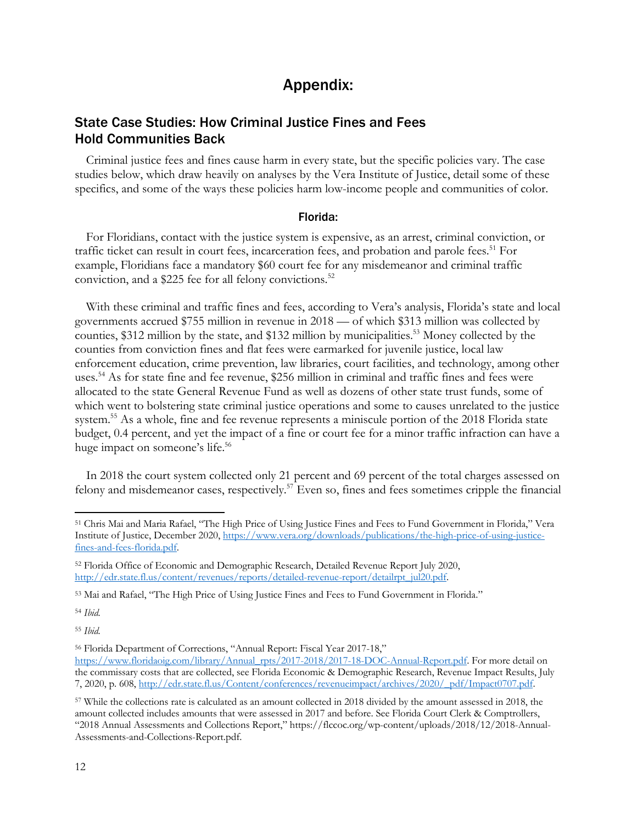# Appendix:

### State Case Studies: How Criminal Justice Fines and Fees Hold Communities Back

Criminal justice fees and fines cause harm in every state, but the specific policies vary. The case studies below, which draw heavily on analyses by the Vera Institute of Justice, detail some of these specifics, and some of the ways these policies harm low-income people and communities of color.

#### Florida:

For Floridians, contact with the justice system is expensive, as an arrest, criminal conviction, or traffic ticket can result in court fees, incarceration fees, and probation and parole fees. <sup>51</sup> For example, Floridians face a mandatory \$60 court fee for any misdemeanor and criminal traffic conviction, and a \$225 fee for all felony convictions.<sup>52</sup>

With these criminal and traffic fines and fees, according to Vera's analysis, Florida's state and local governments accrued \$755 million in revenue in 2018 — of which \$313 million was collected by counties, \$312 million by the state, and \$132 million by municipalities. <sup>53</sup> Money collected by the counties from conviction fines and flat fees were earmarked for juvenile justice, local law enforcement education, crime prevention, law libraries, court facilities, and technology, among other uses. <sup>54</sup> As for state fine and fee revenue, \$256 million in criminal and traffic fines and fees were allocated to the state General Revenue Fund as well as dozens of other state trust funds, some of which went to bolstering state criminal justice operations and some to causes unrelated to the justice system.<sup>55</sup> As a whole, fine and fee revenue represents a miniscule portion of the 2018 Florida state budget, 0.4 percent, and yet the impact of a fine or court fee for a minor traffic infraction can have a huge impact on someone's life.<sup>56</sup>

In 2018 the court system collected only 21 percent and 69 percent of the total charges assessed on felony and misdemeanor cases, respectively.<sup>57</sup> Even so, fines and fees sometimes cripple the financial

<sup>54</sup> *Ibid.*

<sup>55</sup> *Ibid.*

<sup>51</sup> Chris Mai and Maria Rafael, "The High Price of Using Justice Fines and Fees to Fund Government in Florida," Vera Institute of Justice, December 2020, https://www.vera.org/downloads/publications/the-high-price-of-using-justicefines-and-fees-florida.pdf.

<sup>52</sup> Florida Office of Economic and Demographic Research, Detailed Revenue Report July 2020, http://edr.state.fl.us/content/revenues/reports/detailed-revenue-report/detailrpt\_jul20.pdf.

<sup>53</sup> Mai and Rafael, "The High Price of Using Justice Fines and Fees to Fund Government in Florida."

<sup>56</sup> Florida Department of Corrections, "Annual Report: Fiscal Year 2017-18,"

https://www.floridaoig.com/library/Annual\_rpts/2017-2018/2017-18-DOC-Annual-Report.pdf. For more detail on the commissary costs that are collected, see Florida Economic & Demographic Research, Revenue Impact Results, July 7, 2020, p. 608, http://edr.state.fl.us/Content/conferences/revenueimpact/archives/2020/\_pdf/Impact0707.pdf.

<sup>57</sup> While the collections rate is calculated as an amount collected in 2018 divided by the amount assessed in 2018, the amount collected includes amounts that were assessed in 2017 and before. See Florida Court Clerk & Comptrollers, "2018 Annual Assessments and Collections Report," https://flccoc.org/wp-content/uploads/2018/12/2018-Annual-Assessments-and-Collections-Report.pdf.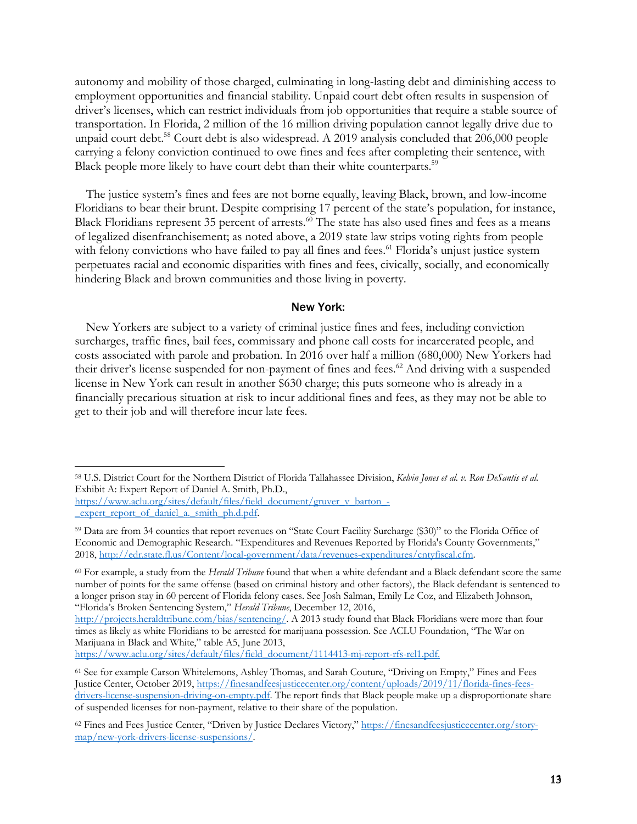autonomy and mobility of those charged, culminating in long-lasting debt and diminishing access to employment opportunities and financial stability. Unpaid court debt often results in suspension of driver's licenses, which can restrict individuals from job opportunities that require a stable source of transportation. In Florida, 2 million of the 16 million driving population cannot legally drive due to unpaid court debt.<sup>58</sup> Court debt is also widespread. A 2019 analysis concluded that 206,000 people carrying a felony conviction continued to owe fines and fees after completing their sentence, with Black people more likely to have court debt than their white counterparts.<sup>59</sup>

The justice system's fines and fees are not borne equally, leaving Black, brown, and low-income Floridians to bear their brunt. Despite comprising 17 percent of the state's population, for instance, Black Floridians represent 35 percent of arrests.<sup>60</sup> The state has also used fines and fees as a means of legalized disenfranchisement; as noted above, a 2019 state law strips voting rights from people with felony convictions who have failed to pay all fines and fees.<sup>61</sup> Florida's unjust justice system perpetuates racial and economic disparities with fines and fees, civically, socially, and economically hindering Black and brown communities and those living in poverty.

#### New York:

New Yorkers are subject to a variety of criminal justice fines and fees, including conviction surcharges, traffic fines, bail fees, commissary and phone call costs for incarcerated people, and costs associated with parole and probation. In 2016 over half a million (680,000) New Yorkers had their driver's license suspended for non-payment of fines and fees.<sup>62</sup> And driving with a suspended license in New York can result in another \$630 charge; this puts someone who is already in a financially precarious situation at risk to incur additional fines and fees, as they may not be able to get to their job and will therefore incur late fees.

https://www.aclu.org/sites/default/files/field\_document/gruver\_v\_barton\_- \_expert\_report\_of\_daniel\_a.\_smith\_ph.d.pdf.

https://www.aclu.org/sites/default/files/field\_document/1114413-mj-report-rfs-rel1.pdf.

<sup>58</sup> U.S. District Court for the Northern District of Florida Tallahassee Division, *Kelvin Jones et al. v. Ron DeSantis et al.* Exhibit A: Expert Report of Daniel A. Smith, Ph.D.,

<sup>59</sup> Data are from 34 counties that report revenues on "State Court Facility Surcharge (\$30)" to the Florida Office of Economic and Demographic Research. "Expenditures and Revenues Reported by Florida's County Governments," 2018, http://edr.state.fl.us/Content/local-government/data/revenues-expenditures/cntyfiscal.cfm.

<sup>60</sup> For example, a study from the *Herald Tribune* found that when a white defendant and a Black defendant score the same number of points for the same offense (based on criminal history and other factors), the Black defendant is sentenced to a longer prison stay in 60 percent of Florida felony cases. See Josh Salman, Emily Le Coz, and Elizabeth Johnson, "Florida's Broken Sentencing System," *Herald Tribune*, December 12, 2016,

http://projects.heraldtribune.com/bias/sentencing/. A 2013 study found that Black Floridians were more than four times as likely as white Floridians to be arrested for marijuana possession. See ACLU Foundation, "The War on Marijuana in Black and White," table A5, June 2013,

<sup>61</sup> See for example Carson Whitelemons, Ashley Thomas, and Sarah Couture, "Driving on Empty," Fines and Fees Justice Center, October 2019, https://finesandfeesjusticecenter.org/content/uploads/2019/11/florida-fines-feesdrivers-license-suspension-driving-on-empty.pdf. The report finds that Black people make up a disproportionate share of suspended licenses for non-payment, relative to their share of the population.

<sup>62</sup> Fines and Fees Justice Center, "Driven by Justice Declares Victory," https://finesandfeesjusticecenter.org/storymap/new-york-drivers-license-suspensions/.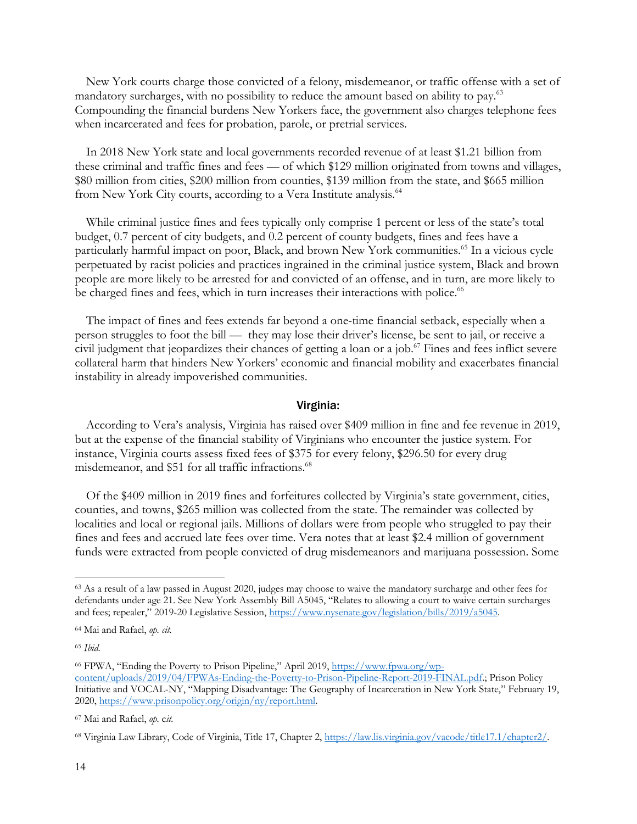New York courts charge those convicted of a felony, misdemeanor, or traffic offense with a set of mandatory surcharges, with no possibility to reduce the amount based on ability to pay.<sup>63</sup> Compounding the financial burdens New Yorkers face, the government also charges telephone fees when incarcerated and fees for probation, parole, or pretrial services.

In 2018 New York state and local governments recorded revenue of at least \$1.21 billion from these criminal and traffic fines and fees — of which \$129 million originated from towns and villages, \$80 million from cities, \$200 million from counties, \$139 million from the state, and \$665 million from New York City courts, according to a Vera Institute analysis.<sup>64</sup>

While criminal justice fines and fees typically only comprise 1 percent or less of the state's total budget, 0.7 percent of city budgets, and 0.2 percent of county budgets, fines and fees have a particularly harmful impact on poor, Black, and brown New York communities. <sup>65</sup> In a vicious cycle perpetuated by racist policies and practices ingrained in the criminal justice system, Black and brown people are more likely to be arrested for and convicted of an offense, and in turn, are more likely to be charged fines and fees, which in turn increases their interactions with police.<sup>66</sup>

The impact of fines and fees extends far beyond a one-time financial setback, especially when a person struggles to foot the bill — they may lose their driver's license, be sent to jail, or receive a civil judgment that jeopardizes their chances of getting a loan or a job. <sup>67</sup> Fines and fees inflict severe collateral harm that hinders New Yorkers' economic and financial mobility and exacerbates financial instability in already impoverished communities.

### Virginia:

According to Vera's analysis, Virginia has raised over \$409 million in fine and fee revenue in 2019, but at the expense of the financial stability of Virginians who encounter the justice system. For instance, Virginia courts assess fixed fees of \$375 for every felony, \$296.50 for every drug misdemeanor, and \$51 for all traffic infractions.<sup>68</sup>

Of the \$409 million in 2019 fines and forfeitures collected by Virginia's state government, cities, counties, and towns, \$265 million was collected from the state. The remainder was collected by localities and local or regional jails. Millions of dollars were from people who struggled to pay their fines and fees and accrued late fees over time. Vera notes that at least \$2.4 million of government funds were extracted from people convicted of drug misdemeanors and marijuana possession. Some

<sup>63</sup> As a result of a law passed in August 2020, judges may choose to waive the mandatory surcharge and other fees for defendants under age 21. See New York Assembly Bill A5045, "Relates to allowing a court to waive certain surcharges and fees; repealer," 2019-20 Legislative Session, https://www.nysenate.gov/legislation/bills/2019/a5045.

<sup>64</sup> Mai and Rafael, *op. cit.*

<sup>65</sup> *Ibid.*

<sup>66</sup> FPWA, "Ending the Poverty to Prison Pipeline," April 2019, https://www.fpwa.org/wpcontent/uploads/2019/04/FPWAs-Ending-the-Poverty-to-Prison-Pipeline-Report-2019-FINAL.pdf.; Prison Policy Initiative and VOCAL-NY, "Mapping Disadvantage: The Geography of Incarceration in New York State," February 19, 2020, https://www.prisonpolicy.org/origin/ny/report.html.

<sup>67</sup> Mai and Rafael, *op.* c*it.*

<sup>68</sup> Virginia Law Library, Code of Virginia, Title 17, Chapter 2, https://law.lis.virginia.gov/vacode/title17.1/chapter2/.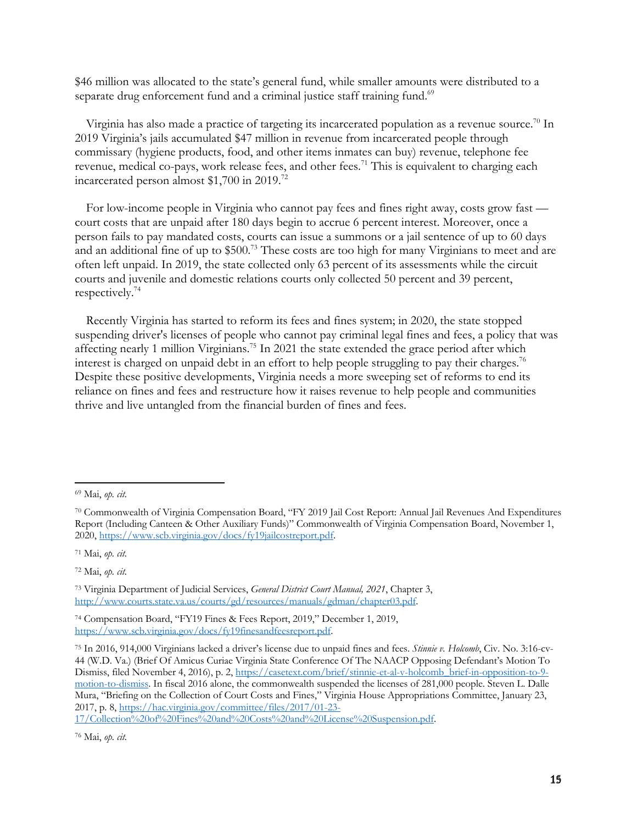\$46 million was allocated to the state's general fund, while smaller amounts were distributed to a separate drug enforcement fund and a criminal justice staff training fund.<sup>69</sup>

Virginia has also made a practice of targeting its incarcerated population as a revenue source.<sup>70</sup> In 2019 Virginia's jails accumulated \$47 million in revenue from incarcerated people through commissary (hygiene products, food, and other items inmates can buy) revenue, telephone fee revenue, medical co-pays, work release fees, and other fees.<sup>71</sup> This is equivalent to charging each incarcerated person almost \$1,700 in 2019. 72

For low-income people in Virginia who cannot pay fees and fines right away, costs grow fast court costs that are unpaid after 180 days begin to accrue 6 percent interest. Moreover, once a person fails to pay mandated costs, courts can issue a summons or a jail sentence of up to 60 days and an additional fine of up to \$500.<sup>73</sup> These costs are too high for many Virginians to meet and are often left unpaid. In 2019, the state collected only 63 percent of its assessments while the circuit courts and juvenile and domestic relations courts only collected 50 percent and 39 percent, respectively.74

Recently Virginia has started to reform its fees and fines system; in 2020, the state stopped suspending driver's licenses of people who cannot pay criminal legal fines and fees, a policy that was affecting nearly 1 million Virginians.<sup>75</sup> In 2021 the state extended the grace period after which interest is charged on unpaid debt in an effort to help people struggling to pay their charges.<sup>76</sup> Despite these positive developments, Virginia needs a more sweeping set of reforms to end its reliance on fines and fees and restructure how it raises revenue to help people and communities thrive and live untangled from the financial burden of fines and fees.

<sup>71</sup> Mai, *op. cit.*

<sup>72</sup> Mai, *op. cit.*

<sup>69</sup> Mai, *op. cit.*

<sup>70</sup> Commonwealth of Virginia Compensation Board, "FY 2019 Jail Cost Report: Annual Jail Revenues And Expenditures Report (Including Canteen & Other Auxiliary Funds)" Commonwealth of Virginia Compensation Board, November 1, 2020, https://www.scb.virginia.gov/docs/fy19jailcostreport.pdf.

<sup>73</sup> Virginia Department of Judicial Services, *General District Court Manual, 2021*, Chapter 3, http://www.courts.state.va.us/courts/gd/resources/manuals/gdman/chapter03.pdf.

<sup>74</sup> Compensation Board, "FY19 Fines & Fees Report, 2019," December 1, 2019, https://www.scb.virginia.gov/docs/fy19finesandfeesreport.pdf.

<sup>75</sup> In 2016, 914,000 Virginians lacked a driver's license due to unpaid fines and fees. *Stinnie v. Holcomb*, Civ. No. 3:16-cv-44 (W.D. Va.) (Brief Of Amicus Curiae Virginia State Conference Of The NAACP Opposing Defendant's Motion To Dismiss, filed November 4, 2016), p. 2, https://casetext.com/brief/stinnie-et-al-v-holcomb\_brief-in-opposition-to-9 motion-to-dismiss. In fiscal 2016 alone, the commonwealth suspended the licenses of 281,000 people. Steven L. Dalle Mura, "Briefing on the Collection of Court Costs and Fines," Virginia House Appropriations Committee, January 23, 2017, p. 8, https://hac.virginia.gov/committee/files/2017/01-23-

<sup>17/</sup>Collection%20of%20Fines%20and%20Costs%20and%20License%20Suspension.pdf.

<sup>76</sup> Mai, *op. cit.*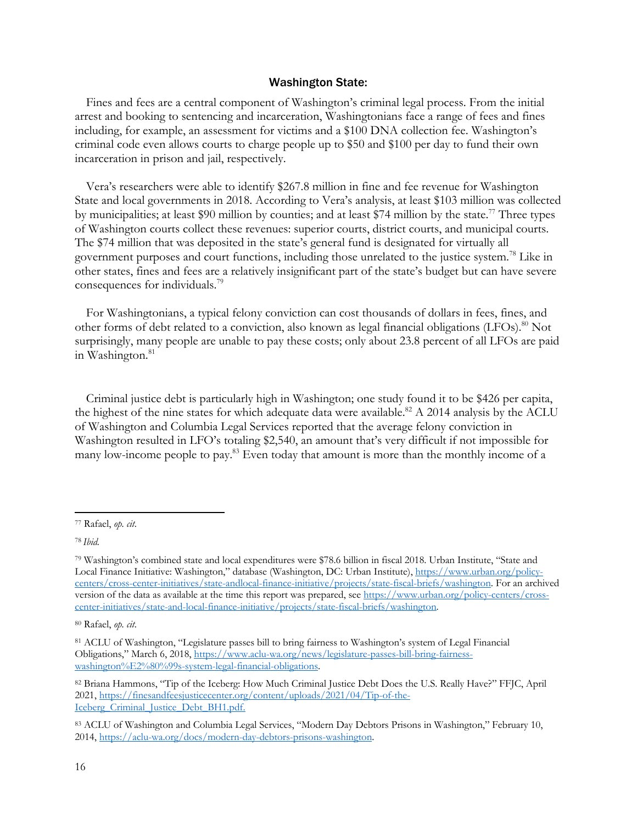### Washington State:

Fines and fees are a central component of Washington's criminal legal process. From the initial arrest and booking to sentencing and incarceration, Washingtonians face a range of fees and fines including, for example, an assessment for victims and a \$100 DNA collection fee. Washington's criminal code even allows courts to charge people up to \$50 and \$100 per day to fund their own incarceration in prison and jail, respectively.

Vera's researchers were able to identify \$267.8 million in fine and fee revenue for Washington State and local governments in 2018. According to Vera's analysis, at least \$103 million was collected by municipalities; at least \$90 million by counties; and at least \$74 million by the state.<sup>77</sup> Three types of Washington courts collect these revenues: superior courts, district courts, and municipal courts. The \$74 million that was deposited in the state's general fund is designated for virtually all government purposes and court functions, including those unrelated to the justice system. <sup>78</sup> Like in other states, fines and fees are a relatively insignificant part of the state's budget but can have severe consequences for individuals.79

For Washingtonians, a typical felony conviction can cost thousands of dollars in fees, fines, and other forms of debt related to a conviction, also known as legal financial obligations (LFOs).<sup>80</sup> Not surprisingly, many people are unable to pay these costs; only about 23.8 percent of all LFOs are paid in Washington.<sup>81</sup>

Criminal justice debt is particularly high in Washington; one study found it to be \$426 per capita, the highest of the nine states for which adequate data were available.<sup>82</sup> A 2014 analysis by the ACLU of Washington and Columbia Legal Services reported that the average felony conviction in Washington resulted in LFO's totaling \$2,540, an amount that's very difficult if not impossible for many low-income people to pay.83 Even today that amount is more than the monthly income of a

<sup>77</sup> Rafael, *op. cit*.

<sup>78</sup> *Ibid.*

<sup>79</sup> Washington's combined state and local expenditures were \$78.6 billion in fiscal 2018. Urban Institute, "State and Local Finance Initiative: Washington," database (Washington, DC: Urban Institute), https://www.urban.org/policycenters/cross-center-initiatives/state-andlocal-finance-initiative/projects/state-fiscal-briefs/washington. For an archived version of the data as available at the time this report was prepared, see https://www.urban.org/policy-centers/crosscenter-initiatives/state-and-local-finance-initiative/projects/state-fiscal-briefs/washington.

<sup>80</sup> Rafael, *op. cit*.

<sup>81</sup> ACLU of Washington, "Legislature passes bill to bring fairness to Washington's system of Legal Financial Obligations," March 6, 2018, https://www.aclu-wa.org/news/legislature-passes-bill-bring-fairnesswashington%E2%80%99s-system-legal-financial-obligations.

<sup>82</sup> Briana Hammons, "Tip of the Iceberg: How Much Criminal Justice Debt Does the U.S. Really Have?" FFJC, April 2021, https://finesandfeesjusticecenter.org/content/uploads/2021/04/Tip-of-the-Iceberg\_Criminal\_Justice\_Debt\_BH1.pdf.

<sup>83</sup> ACLU of Washington and Columbia Legal Services, "Modern Day Debtors Prisons in Washington," February 10, 2014, https://aclu-wa.org/docs/modern-day-debtors-prisons-washington.